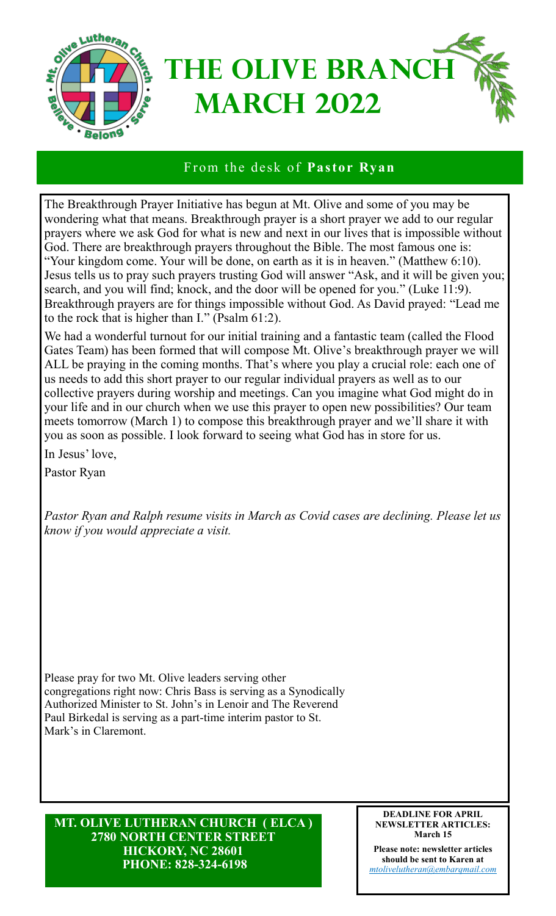

### From the desk of **Pastor Ryan**

The Breakthrough Prayer Initiative has begun at Mt. Olive and some of you may be wondering what that means. Breakthrough prayer is a short prayer we add to our regular prayers where we ask God for what is new and next in our lives that is impossible without God. There are breakthrough prayers throughout the Bible. The most famous one is: "Your kingdom come. Your will be done, on earth as it is in heaven." (Matthew 6:10). Jesus tells us to pray such prayers trusting God will answer "Ask, and it will be given you; search, and you will find; knock, and the door will be opened for you." (Luke 11:9). Breakthrough prayers are for things impossible without God. As David prayed: "Lead me to the rock that is higher than I." (Psalm 61:2).

We had a wonderful turnout for our initial training and a fantastic team (called the Flood Gates Team) has been formed that will compose Mt. Olive's breakthrough prayer we will ALL be praying in the coming months. That's where you play a crucial role: each one of us needs to add this short prayer to our regular individual prayers as well as to our collective prayers during worship and meetings. Can you imagine what God might do in your life and in our church when we use this prayer to open new possibilities? Our team meets tomorrow (March 1) to compose this breakthrough prayer and we'll share it with you as soon as possible. I look forward to seeing what God has in store for us.

In Jesus' love,

Pastor Ryan

*Pastor Ryan and Ralph resume visits in March as Covid cases are declining. Please let us know if you would appreciate a visit.*

Please pray for two Mt. Olive leaders serving other congregations right now: Chris Bass is serving as a Synodically Authorized Minister to St. John's in Lenoir and The Reverend Paul Birkedal is serving as a part-time interim pastor to St. Mark's in Claremont.

**MT. OLIVE LUTHERAN CHURCH ( ELCA ) 2780 NORTH CENTER STREET HICKORY, NC 28601 PHONE: 828-324-6198**

#### **DEADLINE FOR APRIL NEWSLETTER ARTICLES: March 15**

**Please note: newsletter articles should be sent to Karen at**  *[mtolivelutheran@embarqmail.com](mailto:mtolivelutheran@embarqumail.com)*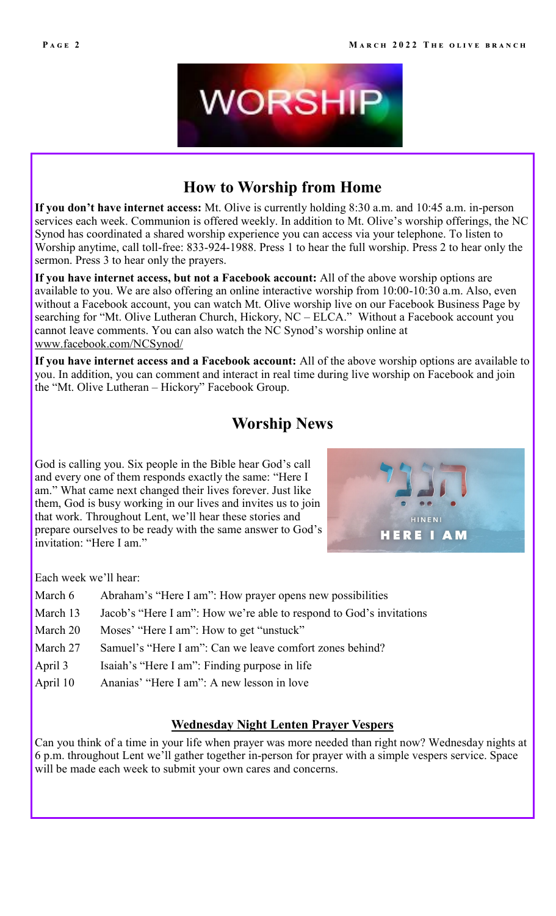

# **How to Worship from Home**

**If you don't have internet access:** Mt. Olive is currently holding 8:30 a.m. and 10:45 a.m. in-person services each week. Communion is offered weekly. In addition to Mt. Olive's worship offerings, the NC Synod has coordinated a shared worship experience you can access via your telephone. To listen to Worship anytime, call toll-free: 833-924-1988. Press 1 to hear the full worship. Press 2 to hear only the sermon. Press 3 to hear only the prayers.

**If you have internet access, but not a Facebook account:** All of the above worship options are available to you. We are also offering an online interactive worship from 10:00-10:30 a.m. Also, even without a Facebook account, you can watch Mt. Olive worship live on our Facebook Business Page by searching for "Mt. Olive Lutheran Church, Hickory, NC – ELCA." Without a Facebook account you cannot leave comments. You can also watch the NC Synod's worship online at [www.facebook.com/NCSynod/](http://www.facebook.com/NCSynod/)

**If you have internet access and a Facebook account:** All of the above worship options are available to you. In addition, you can comment and interact in real time during live worship on Facebook and join the "Mt. Olive Lutheran – Hickory" Facebook Group.

# **Worship News**

God is calling you. Six people in the Bible hear God's call and every one of them responds exactly the same: "Here I am." What came next changed their lives forever. Just like them, God is busy working in our lives and invites us to join that work. Throughout Lent, we'll hear these stories and prepare ourselves to be ready with the same answer to God's invitation: "Here I am."



Each week we'll hear:

- March 6 Abraham's "Here I am": How prayer opens new possibilities
- March 13 Jacob's "Here I am": How we're able to respond to God's invitations
- March 20 Moses' "Here I am": How to get "unstuck"
- March 27 Samuel's "Here I am": Can we leave comfort zones behind?
- April 3 Isaiah's "Here I am": Finding purpose in life
- April 10 Ananias' "Here I am": A new lesson in love

### **Wednesday Night Lenten Prayer Vespers**

Can you think of a time in your life when prayer was more needed than right now? Wednesday nights at 6 p.m. throughout Lent we'll gather together in-person for prayer with a simple vespers service. Space will be made each week to submit your own cares and concerns.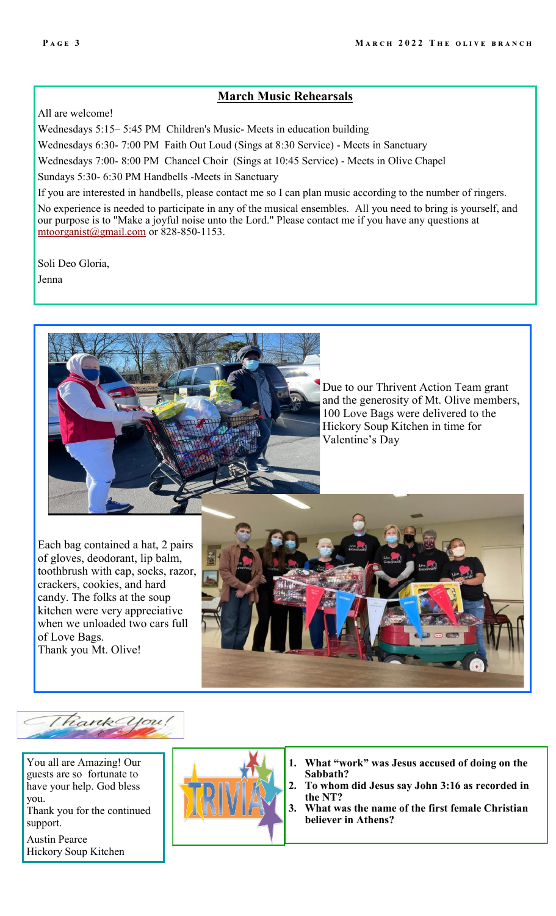## **March Music Rehearsals**

All are welcome!

Wednesdays 5:15– 5:45 PM Children's Music- Meets in education building Wednesdays 6:30- 7:00 PM Faith Out Loud (Sings at 8:30 Service) - Meets in Sanctuary Wednesdays 7:00- 8:00 PM Chancel Choir (Sings at 10:45 Service) - Meets in Olive Chapel

Sundays 5:30- 6:30 PM Handbells -Meets in Sanctuary

If you are interested in handbells, please contact me so I can plan music according to the number of ringers.

No experience is needed to participate in any of the musical ensembles. All you need to bring is yourself, and our purpose is to "Make a joyful noise unto the Lord." Please contact me if you have any questions at [mtoorganist@gmail.com](mailto:mtoorganist@gmail.com) or 828-850-1153.

Soli Deo Gloria,

Jenna



Due to our Thrivent Action Team grant and the generosity of Mt. Olive members, 100 Love Bags were delivered to the Hickory Soup Kitchen in time for Valentine's Day

Each bag contained a hat, 2 pairs of gloves, deodorant, lip balm, toothbrush with cap, socks, razor, crackers, cookies, and hard candy. The folks at the soup kitchen were very appreciative when we unloaded two cars full of Love Bags. Thank you Mt. Olive!



Thank you

You all are Amazing! Our guests are so fortunate to have your help. God bless you.

Thank you for the continued support.

Austin Pearce Hickory Soup Kitchen



- **1. What "work" was Jesus accused of doing on the Sabbath?**
- **2. To whom did Jesus say John 3:16 as recorded in the NT?**
- **3. What was the name of the first female Christian believer in Athens?**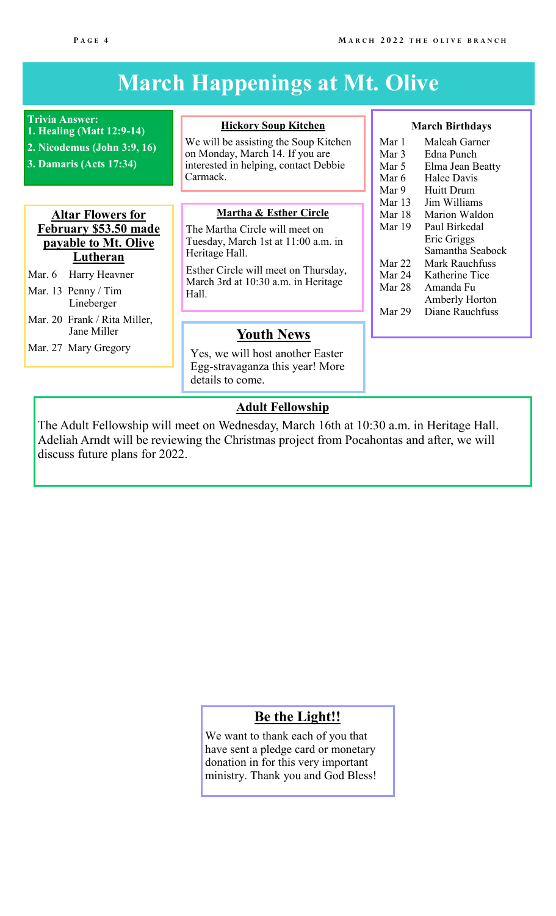#### **March Birthdays** Mar 1 Maleah Garner<br>Mar 3 Edna Punch Mar 3 Edna Punch<br>Mar 5 Elma Jean B Elma Jean Beatty Mar 6 Halee Davis Mar 9 Huitt Drum Mar 13 Jim Williams Mar 18 Marion Waldon Mar 19 Paul Birkedal Eric Griggs Samantha Seabock Mar 22 Mark Rauchfuss Mar 24 Katherine Tice Mar 28 Amanda Fu Amberly Horton Mar 29 Diane Rauchfuss **March Happenings at Mt. Olive Trivia Answer: 1. Healing (Matt 12:9-14) 2. Nicodemus (John 3:9, 16) 3. Damaris (Acts 17:34) Hickory Soup Kitchen** We will be assisting the Soup Kitchen on Monday, March 14. If you are interested in helping, contact Debbie Carmack. **Martha & Esther Circle** The Martha Circle will meet on Tuesday, March 1st at 11:00 a.m. in Heritage Hall. Esther Circle will meet on Thursday, March 3rd at 10:30 a.m. in Heritage Hall. **Youth News** Yes, we will host another Easter Egg-stravaganza this year! More details to come. **Altar Flowers for February \$53.50 made payable to Mt. Olive Lutheran** Mar. 6 Harry Heavner Mar. 13 Penny / Tim Lineberger Mar. 20 Frank / Rita Miller, Jane Miller Mar. 27 Mary Gregory **Adult Fellowship**

The Adult Fellowship will meet on Wednesday, March 16th at 10:30 a.m. in Heritage Hall. Adeliah Arndt will be reviewing the Christmas project from Pocahontas and after, we will discuss future plans for 2022.

# **Be the Light!!**

We want to thank each of you that have sent a pledge card or monetary donation in for this very important ministry. Thank you and God Bless!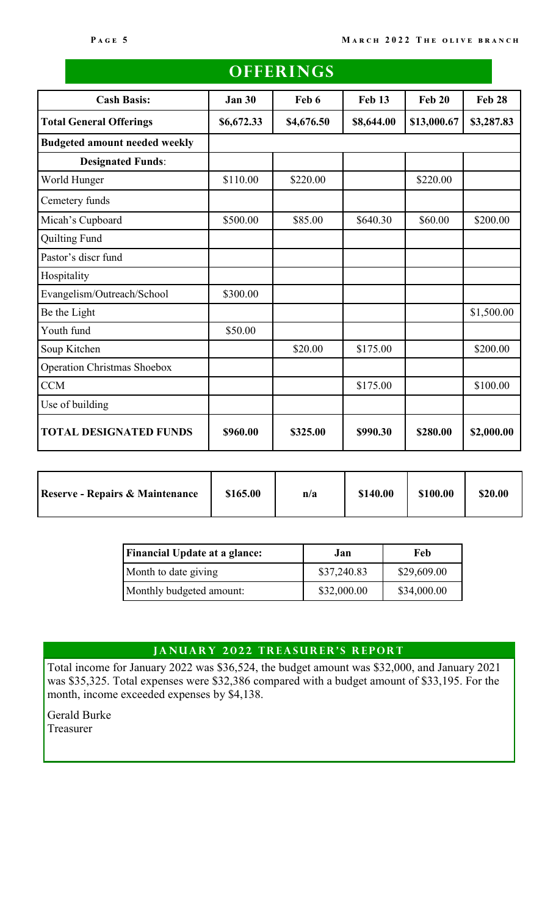| <b>Cash Basis:</b>                   | <b>Jan 30</b> | Feb 6      | <b>Feb 13</b> | <b>Feb 20</b> | <b>Feb 28</b> |
|--------------------------------------|---------------|------------|---------------|---------------|---------------|
|                                      |               |            |               |               |               |
| <b>Total General Offerings</b>       | \$6,672.33    | \$4,676.50 | \$8,644.00    | \$13,000.67   | \$3,287.83    |
| <b>Budgeted amount needed weekly</b> |               |            |               |               |               |
| <b>Designated Funds:</b>             |               |            |               |               |               |
| World Hunger                         | \$110.00      | \$220.00   |               | \$220.00      |               |
| Cemetery funds                       |               |            |               |               |               |
| Micah's Cupboard                     | \$500.00      | \$85.00    | \$640.30      | \$60.00       | \$200.00      |
| <b>Quilting Fund</b>                 |               |            |               |               |               |
| Pastor's discr fund                  |               |            |               |               |               |
| Hospitality                          |               |            |               |               |               |
| Evangelism/Outreach/School           | \$300.00      |            |               |               |               |
| Be the Light                         |               |            |               |               | \$1,500.00    |
| Youth fund                           | \$50.00       |            |               |               |               |
| Soup Kitchen                         |               | \$20.00    | \$175.00      |               | \$200.00      |
| <b>Operation Christmas Shoebox</b>   |               |            |               |               |               |
| <b>CCM</b>                           |               |            | \$175.00      |               | \$100.00      |
| Use of building                      |               |            |               |               |               |
| <b>TOTAL DESIGNATED FUNDS</b>        | \$960.00      | \$325.00   | \$990.30      | \$280.00      | \$2,000.00    |

| <b>Reserve - Repairs &amp; Maintenance</b> | \$165.00 | n/a | \$140.00 | \$100.00 | \$20.00 |
|--------------------------------------------|----------|-----|----------|----------|---------|

| <b>Financial Update at a glance:</b> | Jan.        | Feb         |
|--------------------------------------|-------------|-------------|
| Month to date giving                 | \$37,240.83 | \$29,609.00 |
| Monthly budgeted amount:             | \$32,000.00 | \$34,000.00 |

### JANUARY 2022 TREASURER'S REPORT

Total income for January 2022 was \$36,524, the budget amount was \$32,000, and January 2021 was \$35,325. Total expenses were \$32,386 compared with a budget amount of \$33,195. For the month, income exceeded expenses by \$4,138.

Gerald Burke Treasurer

# **OFFER INGS**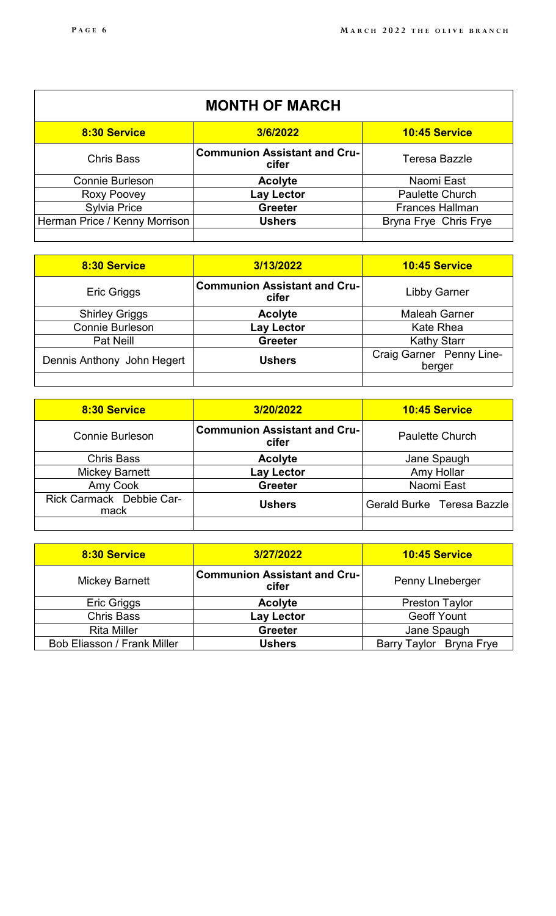| <b>MONTH OF MARCH</b>         |                                              |                        |  |
|-------------------------------|----------------------------------------------|------------------------|--|
| 8:30 Service                  | 3/6/2022                                     | <b>10:45 Service</b>   |  |
| <b>Chris Bass</b>             | <b>Communion Assistant and Cru-</b><br>cifer | Teresa Bazzle          |  |
| <b>Connie Burleson</b>        | <b>Acolyte</b>                               | Naomi East             |  |
| Roxy Poovey                   | Lay Lector                                   | <b>Paulette Church</b> |  |
| <b>Sylvia Price</b>           | <b>Greeter</b>                               | <b>Frances Hallman</b> |  |
| Herman Price / Kenny Morrison | <b>Ushers</b>                                | Bryna Frye Chris Frye  |  |
|                               |                                              |                        |  |

| 8:30 Service               | 3/13/2022                                    | <b>10:45 Service</b>               |  |
|----------------------------|----------------------------------------------|------------------------------------|--|
| Eric Griggs                | <b>Communion Assistant and Cru-</b><br>cifer | <b>Libby Garner</b>                |  |
| <b>Shirley Griggs</b>      | <b>Acolyte</b>                               | <b>Maleah Garner</b>               |  |
| <b>Connie Burleson</b>     | Lay Lector                                   | Kate Rhea                          |  |
| <b>Pat Neill</b>           | <b>Greeter</b>                               | <b>Kathy Starr</b>                 |  |
| Dennis Anthony John Hegert | <b>Ushers</b>                                | Craig Garner Penny Line-<br>berger |  |
|                            |                                              |                                    |  |

| 8:30 Service                     | 3/20/2022                                    | 10:45 Service              |  |
|----------------------------------|----------------------------------------------|----------------------------|--|
| <b>Connie Burleson</b>           | <b>Communion Assistant and Cru-</b><br>cifer | <b>Paulette Church</b>     |  |
| <b>Chris Bass</b>                | <b>Acolyte</b>                               | Jane Spaugh                |  |
| <b>Mickey Barnett</b>            | Lay Lector                                   | Amy Hollar                 |  |
| <b>Amy Cook</b>                  | <b>Greeter</b>                               | Naomi East                 |  |
| Rick Carmack Debbie Car-<br>mack | <b>Ushers</b>                                | Gerald Burke Teresa Bazzle |  |
|                                  |                                              |                            |  |

| 8:30 Service                       | 3/27/2022                                    | <b>10:45 Service</b>    |  |
|------------------------------------|----------------------------------------------|-------------------------|--|
| <b>Mickey Barnett</b>              | <b>Communion Assistant and Cru-</b><br>cifer | Penny Lineberger        |  |
| Eric Griggs                        | <b>Acolyte</b>                               | <b>Preston Taylor</b>   |  |
| <b>Chris Bass</b>                  | Lay Lector                                   | <b>Geoff Yount</b>      |  |
| <b>Rita Miller</b>                 | <b>Greeter</b>                               | Jane Spaugh             |  |
| <b>Bob Eliasson / Frank Miller</b> | <b>Ushers</b>                                | Barry Taylor Bryna Frye |  |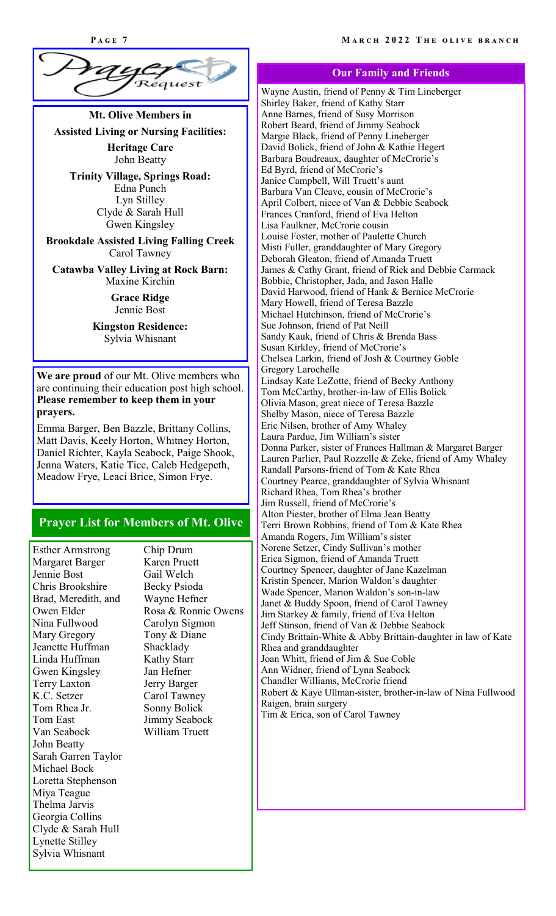

# **Mt. Olive Members in Assisted Living or Nursing Facilities: Heritage Care**

**Trinity Village, Springs Road:** Edna Punch Lyn Stilley Clyde & Sarah Hull Gwen Kingsley

John Beatty

**Brookdale Assisted Living Falling Creek** Carol Tawney

**[Catawba Valley Living at Rock Barn:](http://www.assistedliving.com/north-carolina/claremont/catawba-valley-living-at-rock-barn/)** Maxine Kirchin

> **Grace Ridge** Jennie Bost

**Kingston Residence:** Sylvia Whisnant

**We are proud** of our Mt. Olive members who are continuing their education post high school. **Please remember to keep them in your prayers.**

Emma Barger, Ben Bazzle, Brittany Collins, Matt Davis, Keely Horton, Whitney Horton, Daniel Richter, Kayla Seabock, Paige Shook, Jenna Waters, Katie Tice, Caleb Hedgepeth, Meadow Frye, Leaci Brice, Simon Frye.

#### **Prayer List for Members of Mt. Olive**

Esther Armstrong Margaret Barger Jennie Bost Chris Brookshire Brad, Meredith, and Owen Elder Nina Fullwood Mary Gregory Jeanette Huffman Linda Huffman Gwen Kingsley Terry Laxton K.C. Setzer Tom Rhea Jr. Tom East Van Seabock John Beatty Sarah Garren Taylor Michael Bock Loretta Stephenson Miya Teague Thelma Jarvis Georgia Collins Clyde & Sarah Hull Lynette Stilley Sylvia Whisnant

Chip Drum Karen Pruett Gail Welch Becky Psioda Wayne Hefner Rosa & Ronnie Owens Carolyn Sigmon Tony & Diane Shacklady Kathy Starr Jan Hefner Jerry Barger Carol Tawney Sonny Bolick Jimmy Seabock William Truett

#### **Our Family and Friends**

Wayne Austin, friend of Penny & Tim Lineberger Shirley Baker, friend of Kathy Starr Anne Barnes, friend of Susy Morrison Robert Beard, friend of Jimmy Seabock Margie Black, friend of Penny Lineberger David Bolick, friend of John & Kathie Hegert Barbara Boudreaux, daughter of McCrorie's Ed Byrd, friend of McCrorie's Janice Campbell, Will Truett's aunt Barbara Van Cleave, cousin of McCrorie's April Colbert, niece of Van & Debbie Seabock Frances Cranford, friend of Eva Helton Lisa Faulkner, McCrorie cousin Louise Foster, mother of Paulette Church Misti Fuller, granddaughter of Mary Gregory Deborah Gleaton, friend of Amanda Truett James & Cathy Grant, friend of Rick and Debbie Carmack Bobbie, Christopher, Jada, and Jason Halle David Harwood, friend of Hank & Bernice McCrorie Mary Howell, friend of Teresa Bazzle Michael Hutchinson, friend of McCrorie's Sue Johnson, friend of Pat Neill Sandy Kauk, friend of Chris & Brenda Bass Susan Kirkley, friend of McCrorie's Chelsea Larkin, friend of Josh & Courtney Goble Gregory Larochelle Lindsay Kate LeZotte, friend of Becky Anthony Tom McCarthy, brother-in-law of Ellis Bolick Olivia Mason, great niece of Teresa Bazzle Shelby Mason, niece of Teresa Bazzle Eric Nilsen, brother of Amy Whaley Laura Pardue, Jim William's sister Donna Parker, sister of Frances Hallman & Margaret Barger Lauren Parlier, Paul Rozzelle & Zeke, friend of Amy Whaley Randall Parsons-friend of Tom & Kate Rhea Courtney Pearce, granddaughter of Sylvia Whisnant Richard Rhea, Tom Rhea's brother Jim Russell, friend of McCrorie's Alton Piester, brother of Elma Jean Beatty Terri Brown Robbins, friend of Tom & Kate Rhea Amanda Rogers, Jim William's sister Norene Setzer, Cindy Sullivan's mother Erica Sigmon, friend of Amanda Truett Courtney Spencer, daughter of Jane Kazelman Kristin Spencer, Marion Waldon's daughter Wade Spencer, Marion Waldon's son-in-law Janet & Buddy Spoon, friend of Carol Tawney Jim Starkey & family, friend of Eva Helton Jeff Stinson, friend of Van & Debbie Seabock Cindy Brittain-White & Abby Brittain-daughter in law of Kate Rhea and granddaughter Joan Whitt, friend of Jim & Sue Coble Ann Widner, friend of Lynn Seabock Chandler Williams, McCrorie friend Robert & Kaye Ullman-sister, brother-in-law of Nina Fullwood Raigen, brain surgery Tim & Erica, son of Carol Tawney